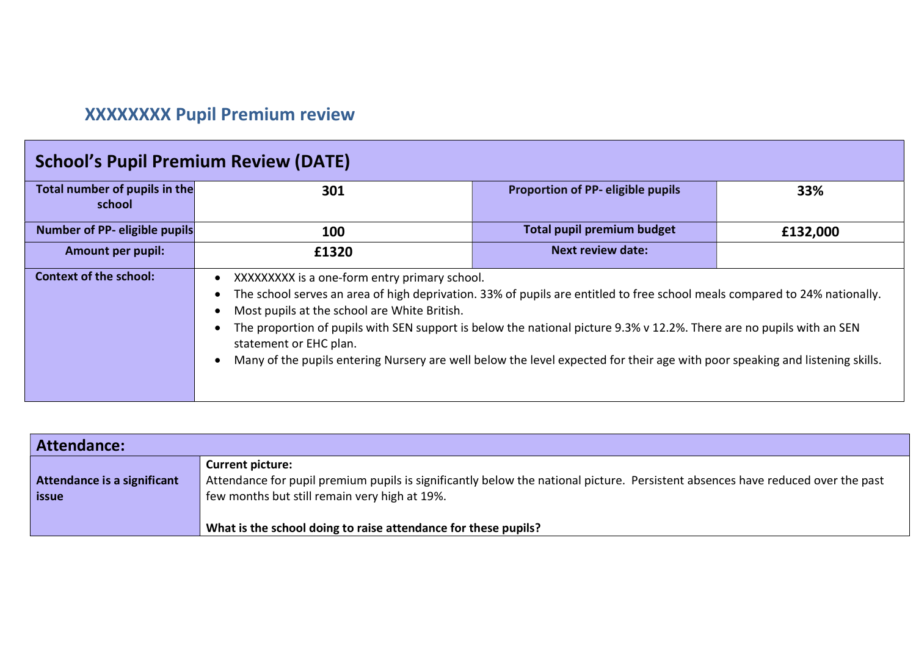## XXXXXXXX Pupil Premium review

| <b>School's Pupil Premium Review (DATE)</b> |                                                                                                                        |                                                                                                                                                                                                                                                                                                                                                                                     |          |
|---------------------------------------------|------------------------------------------------------------------------------------------------------------------------|-------------------------------------------------------------------------------------------------------------------------------------------------------------------------------------------------------------------------------------------------------------------------------------------------------------------------------------------------------------------------------------|----------|
| Total number of pupils in the<br>school     | 301                                                                                                                    | Proportion of PP- eligible pupils                                                                                                                                                                                                                                                                                                                                                   | 33%      |
| <b>Number of PP- eligible pupils</b>        | 100                                                                                                                    | <b>Total pupil premium budget</b>                                                                                                                                                                                                                                                                                                                                                   | £132,000 |
| <b>Amount per pupil:</b>                    | £1320                                                                                                                  | <b>Next review date:</b>                                                                                                                                                                                                                                                                                                                                                            |          |
| <b>Context of the school:</b>               | XXXXXXXX is a one-form entry primary school.<br>Most pupils at the school are White British.<br>statement or EHC plan. | The school serves an area of high deprivation. 33% of pupils are entitled to free school meals compared to 24% nationally.<br>The proportion of pupils with SEN support is below the national picture 9.3% v 12.2%. There are no pupils with an SEN<br>Many of the pupils entering Nursery are well below the level expected for their age with poor speaking and listening skills. |          |

| Attendance:                                 |                                                                                                                                                                                                             |
|---------------------------------------------|-------------------------------------------------------------------------------------------------------------------------------------------------------------------------------------------------------------|
| Attendance is a significant<br><b>issue</b> | <b>Current picture:</b><br>Attendance for pupil premium pupils is significantly below the national picture. Persistent absences have reduced over the past<br>few months but still remain very high at 19%. |
|                                             | What is the school doing to raise attendance for these pupils?                                                                                                                                              |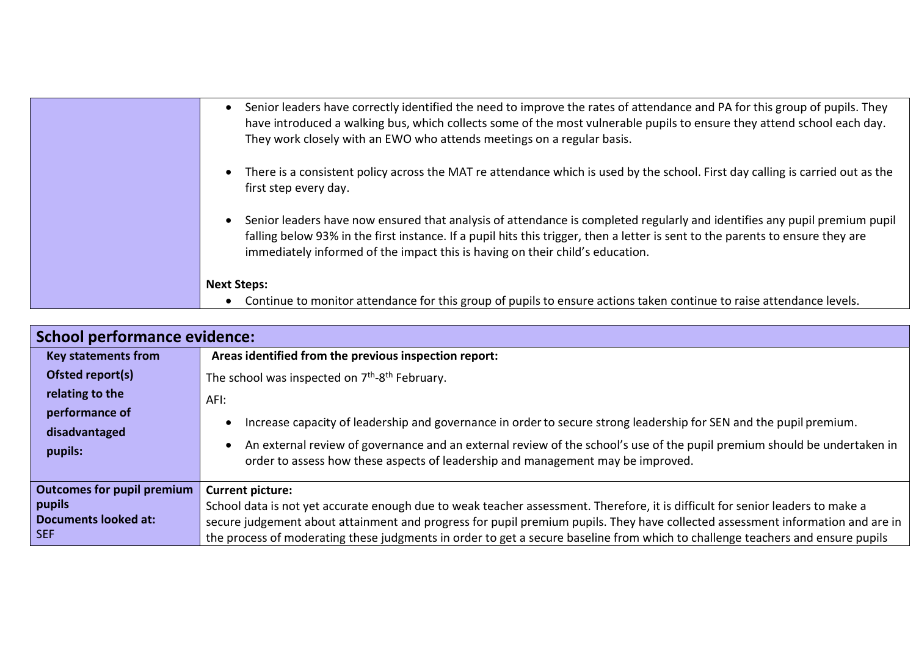| Senior leaders have correctly identified the need to improve the rates of attendance and PA for this group of pupils. They<br>have introduced a walking bus, which collects some of the most vulnerable pupils to ensure they attend school each day.<br>They work closely with an EWO who attends meetings on a regular basis.              |
|----------------------------------------------------------------------------------------------------------------------------------------------------------------------------------------------------------------------------------------------------------------------------------------------------------------------------------------------|
| There is a consistent policy across the MAT re attendance which is used by the school. First day calling is carried out as the<br>first step every day.                                                                                                                                                                                      |
| Senior leaders have now ensured that analysis of attendance is completed regularly and identifies any pupil premium pupil<br>falling below 93% in the first instance. If a pupil hits this trigger, then a letter is sent to the parents to ensure they are<br>immediately informed of the impact this is having on their child's education. |
| <b>Next Steps:</b><br>Continue to monitor attendance for this group of pupils to ensure actions taken continue to raise attendance levels.                                                                                                                                                                                                   |

| <b>School performance evidence:</b>   |                                                                                                                                                                                                             |
|---------------------------------------|-------------------------------------------------------------------------------------------------------------------------------------------------------------------------------------------------------------|
| <b>Key statements from</b>            | Areas identified from the previous inspection report:                                                                                                                                                       |
| Ofsted report(s)                      | The school was inspected on 7 <sup>th</sup> -8 <sup>th</sup> February.                                                                                                                                      |
| relating to the                       | AFI:                                                                                                                                                                                                        |
| performance of                        | Increase capacity of leadership and governance in order to secure strong leadership for SEN and the pupil premium.                                                                                          |
| pupils:                               | An external review of governance and an external review of the school's use of the pupil premium should be undertaken in<br>order to assess how these aspects of leadership and management may be improved. |
| <b>Outcomes for pupil premium</b>     | <b>Current picture:</b>                                                                                                                                                                                     |
| <b>pupils</b>                         | School data is not yet accurate enough due to weak teacher assessment. Therefore, it is difficult for senior leaders to make a                                                                              |
| SEF                                   | secure judgement about attainment and progress for pupil premium pupils. They have collected assessment information and are in                                                                              |
| disadvantaged<br>Documents looked at: | the process of moderating these judgments in order to get a secure baseline from which to challenge teachers and ensure pupils                                                                              |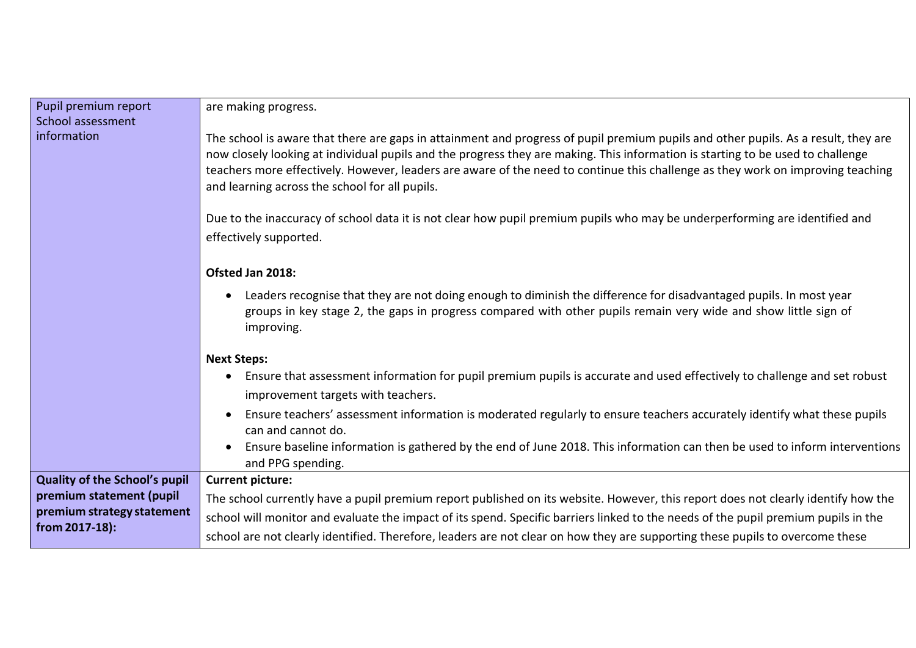| Pupil premium report<br>School assessment | are making progress.                                                                                                                                                                                                                                                                                                                                                                                                                                       |
|-------------------------------------------|------------------------------------------------------------------------------------------------------------------------------------------------------------------------------------------------------------------------------------------------------------------------------------------------------------------------------------------------------------------------------------------------------------------------------------------------------------|
| information                               | The school is aware that there are gaps in attainment and progress of pupil premium pupils and other pupils. As a result, they are<br>now closely looking at individual pupils and the progress they are making. This information is starting to be used to challenge<br>teachers more effectively. However, leaders are aware of the need to continue this challenge as they work on improving teaching<br>and learning across the school for all pupils. |
|                                           | Due to the inaccuracy of school data it is not clear how pupil premium pupils who may be underperforming are identified and                                                                                                                                                                                                                                                                                                                                |
|                                           | effectively supported.                                                                                                                                                                                                                                                                                                                                                                                                                                     |
|                                           | Ofsted Jan 2018:                                                                                                                                                                                                                                                                                                                                                                                                                                           |
|                                           | Leaders recognise that they are not doing enough to diminish the difference for disadvantaged pupils. In most year<br>groups in key stage 2, the gaps in progress compared with other pupils remain very wide and show little sign of<br>improving.                                                                                                                                                                                                        |
|                                           | <b>Next Steps:</b>                                                                                                                                                                                                                                                                                                                                                                                                                                         |
|                                           | Ensure that assessment information for pupil premium pupils is accurate and used effectively to challenge and set robust<br>improvement targets with teachers.                                                                                                                                                                                                                                                                                             |
|                                           | Ensure teachers' assessment information is moderated regularly to ensure teachers accurately identify what these pupils<br>can and cannot do.                                                                                                                                                                                                                                                                                                              |
|                                           | Ensure baseline information is gathered by the end of June 2018. This information can then be used to inform interventions<br>and PPG spending.                                                                                                                                                                                                                                                                                                            |
| <b>Quality of the School's pupil</b>      | <b>Current picture:</b>                                                                                                                                                                                                                                                                                                                                                                                                                                    |
| premium statement (pupil                  | The school currently have a pupil premium report published on its website. However, this report does not clearly identify how the                                                                                                                                                                                                                                                                                                                          |
| premium strategy statement                | school will monitor and evaluate the impact of its spend. Specific barriers linked to the needs of the pupil premium pupils in the                                                                                                                                                                                                                                                                                                                         |
| from 2017-18):                            | school are not clearly identified. Therefore, leaders are not clear on how they are supporting these pupils to overcome these                                                                                                                                                                                                                                                                                                                              |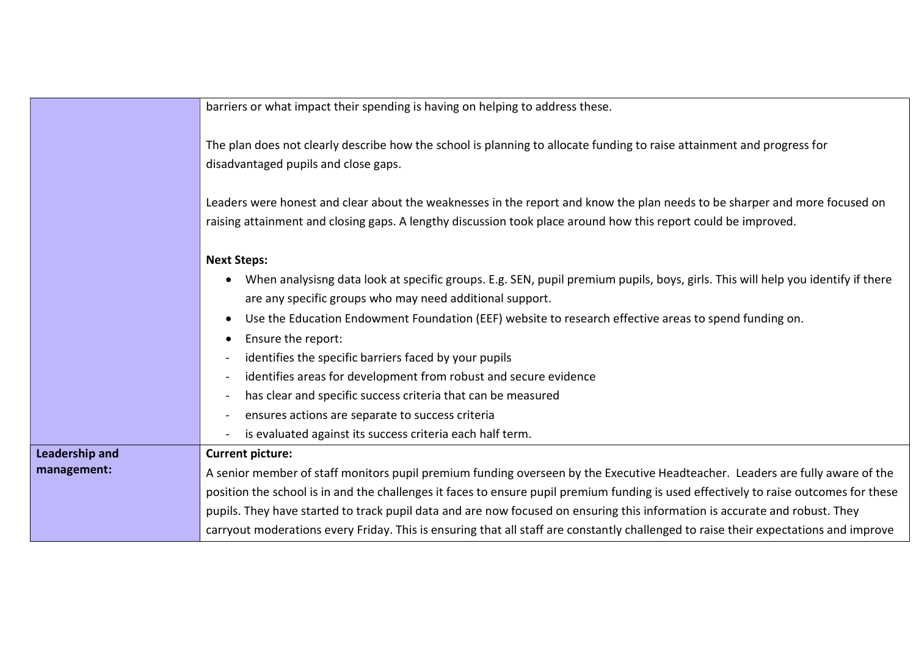|                       | barriers or what impact their spending is having on helping to address these.                                                                                                                                                                |
|-----------------------|----------------------------------------------------------------------------------------------------------------------------------------------------------------------------------------------------------------------------------------------|
|                       | The plan does not clearly describe how the school is planning to allocate funding to raise attainment and progress for<br>disadvantaged pupils and close gaps.                                                                               |
|                       | Leaders were honest and clear about the weaknesses in the report and know the plan needs to be sharper and more focused on<br>raising attainment and closing gaps. A lengthy discussion took place around how this report could be improved. |
|                       | <b>Next Steps:</b>                                                                                                                                                                                                                           |
|                       | When analysisng data look at specific groups. E.g. SEN, pupil premium pupils, boys, girls. This will help you identify if there<br>are any specific groups who may need additional support.                                                  |
|                       | Use the Education Endowment Foundation (EEF) website to research effective areas to spend funding on.                                                                                                                                        |
|                       | Ensure the report:<br>$\bullet$                                                                                                                                                                                                              |
|                       | identifies the specific barriers faced by your pupils                                                                                                                                                                                        |
|                       | identifies areas for development from robust and secure evidence                                                                                                                                                                             |
|                       | has clear and specific success criteria that can be measured<br>$\overline{\phantom{a}}$                                                                                                                                                     |
|                       | ensures actions are separate to success criteria<br>$\blacksquare$                                                                                                                                                                           |
|                       | is evaluated against its success criteria each half term.                                                                                                                                                                                    |
| <b>Leadership and</b> | <b>Current picture:</b>                                                                                                                                                                                                                      |
| management:           | A senior member of staff monitors pupil premium funding overseen by the Executive Headteacher. Leaders are fully aware of the                                                                                                                |
|                       | position the school is in and the challenges it faces to ensure pupil premium funding is used effectively to raise outcomes for these                                                                                                        |
|                       | pupils. They have started to track pupil data and are now focused on ensuring this information is accurate and robust. They                                                                                                                  |
|                       | carryout moderations every Friday. This is ensuring that all staff are constantly challenged to raise their expectations and improve                                                                                                         |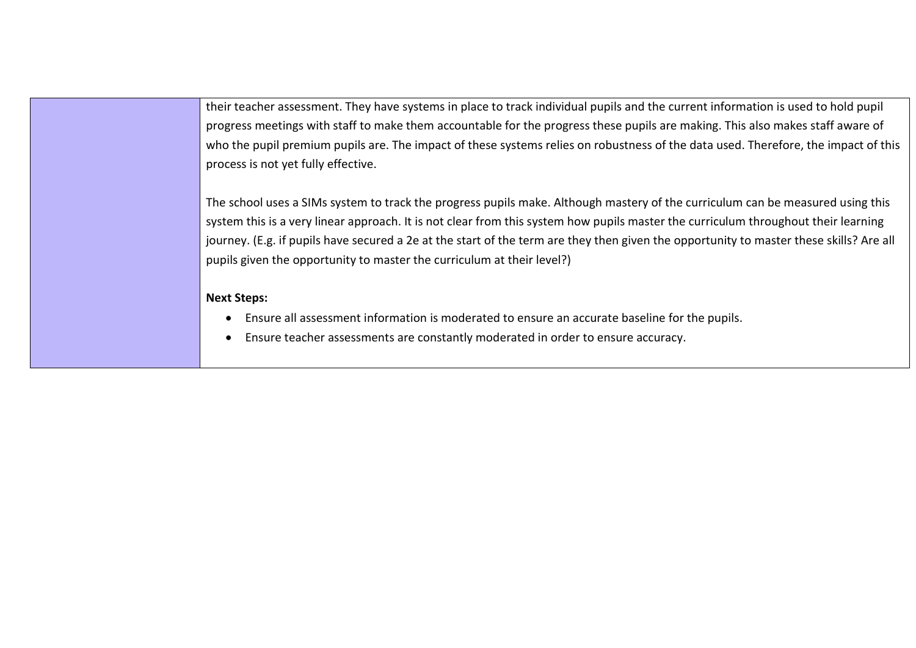their teacher assessment. They have systems in place to track individual pupils and the current information is used to hold pupil progress meetings with staff to make them accountable for the progress these pupils are making. This also makes staff aware of who the pupil premium pupils are. The impact of these systems relies on robustness of the data used. Therefore, the impact of this process is not yet fully effective.

The school uses a SIMs system to track the progress pupils make. Although mastery of the curriculum can be measured using this system this is a very linear approach. It is not clear from this system how pupils master the curriculum throughout their learning journey. (E.g. if pupils have secured a 2e at the start of the term are they then given the opportunity to master these skills? Are all pupils given the opportunity to master the curriculum at their level?)

## Next Steps:

- Ensure all assessment information is moderated to ensure an accurate baseline for the pupils.
- Ensure teacher assessments are constantly moderated in order to ensure accuracy.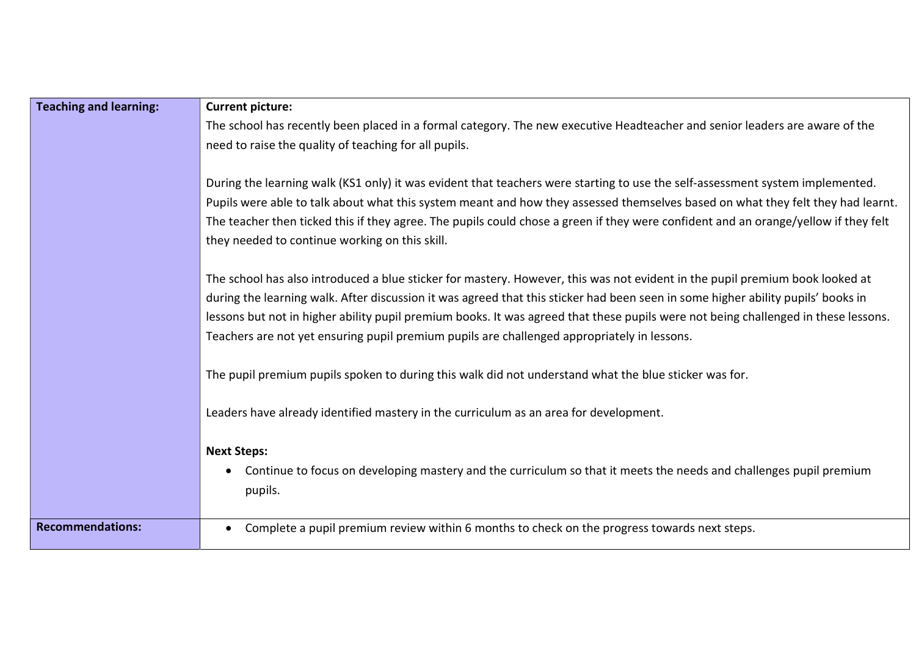| <b>Teaching and learning:</b> | <b>Current picture:</b>                                                                                                             |
|-------------------------------|-------------------------------------------------------------------------------------------------------------------------------------|
|                               | The school has recently been placed in a formal category. The new executive Headteacher and senior leaders are aware of the         |
|                               | need to raise the quality of teaching for all pupils.                                                                               |
|                               |                                                                                                                                     |
|                               | During the learning walk (KS1 only) it was evident that teachers were starting to use the self-assessment system implemented.       |
|                               | Pupils were able to talk about what this system meant and how they assessed themselves based on what they felt they had learnt.     |
|                               | The teacher then ticked this if they agree. The pupils could chose a green if they were confident and an orange/yellow if they felt |
|                               | they needed to continue working on this skill.                                                                                      |
|                               |                                                                                                                                     |
|                               | The school has also introduced a blue sticker for mastery. However, this was not evident in the pupil premium book looked at        |
|                               | during the learning walk. After discussion it was agreed that this sticker had been seen in some higher ability pupils' books in    |
|                               | lessons but not in higher ability pupil premium books. It was agreed that these pupils were not being challenged in these lessons.  |
|                               | Teachers are not yet ensuring pupil premium pupils are challenged appropriately in lessons.                                         |
|                               | The pupil premium pupils spoken to during this walk did not understand what the blue sticker was for.                               |
|                               | Leaders have already identified mastery in the curriculum as an area for development.                                               |
|                               | <b>Next Steps:</b>                                                                                                                  |
|                               | Continue to focus on developing mastery and the curriculum so that it meets the needs and challenges pupil premium                  |
|                               | pupils.                                                                                                                             |
|                               |                                                                                                                                     |
| <b>Recommendations:</b>       | Complete a pupil premium review within 6 months to check on the progress towards next steps.                                        |
|                               |                                                                                                                                     |